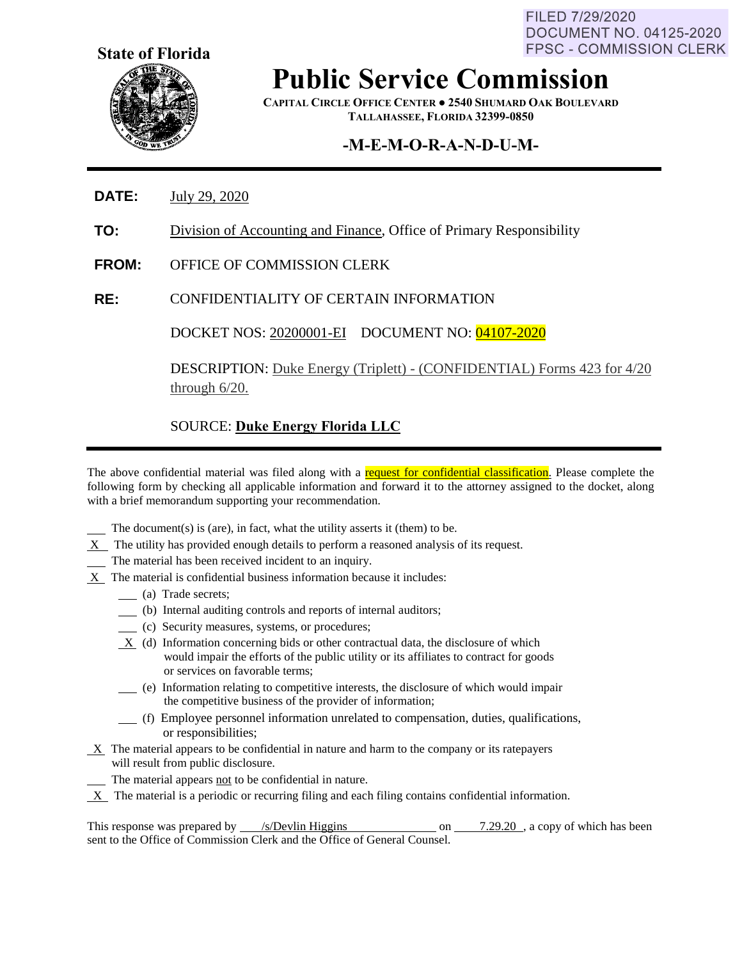FILED 7/29/2020 **DOCUMENT NO. 04125-2020 FPSC - COMMISSION CLERK** 



**Public Service Commission**

**CAPITAL CIRCLE OFFICE CENTER ● 2540 SHUMARD OAK BOULEVARD TALLAHASSEE, FLORIDA 32399-0850**

## **-M-E-M-O-R-A-N-D-U-M-**

- **DATE:** July 29, 2020
- **TO:** Division of Accounting and Finance, Office of Primary Responsibility
- **FROM:** OFFICE OF COMMISSION CLERK
- **RE:** CONFIDENTIALITY OF CERTAIN INFORMATION

DOCKET NOS: 20200001-EI DOCUMENT NO: 04107-2020

DESCRIPTION: Duke Energy (Triplett) - (CONFIDENTIAL) Forms 423 for 4/20 through 6/20.

#### SOURCE: **Duke Energy Florida LLC**

The above confidential material was filed along with a request for confidential classification. Please complete the following form by checking all applicable information and forward it to the attorney assigned to the docket, along with a brief memorandum supporting your recommendation.

- The document(s) is (are), in fact, what the utility asserts it (them) to be.
- $X$  The utility has provided enough details to perform a reasoned analysis of its request.
- The material has been received incident to an inquiry.
- X The material is confidential business information because it includes:
	- (a) Trade secrets;
	- (b) Internal auditing controls and reports of internal auditors;
	- (c) Security measures, systems, or procedures;
	- X (d) Information concerning bids or other contractual data, the disclosure of which would impair the efforts of the public utility or its affiliates to contract for goods or services on favorable terms;
	- (e) Information relating to competitive interests, the disclosure of which would impair the competitive business of the provider of information;
	- (f) Employee personnel information unrelated to compensation, duties, qualifications, or responsibilities;
- $X$  The material appears to be confidential in nature and harm to the company or its ratepayers will result from public disclosure.
- The material appears not to be confidential in nature.
- X The material is a periodic or recurring filing and each filing contains confidential information.

This response was prepared by /s/Devlin Higgins on 7.29.20, a copy of which has been sent to the Office of Commission Clerk and the Office of General Counsel.